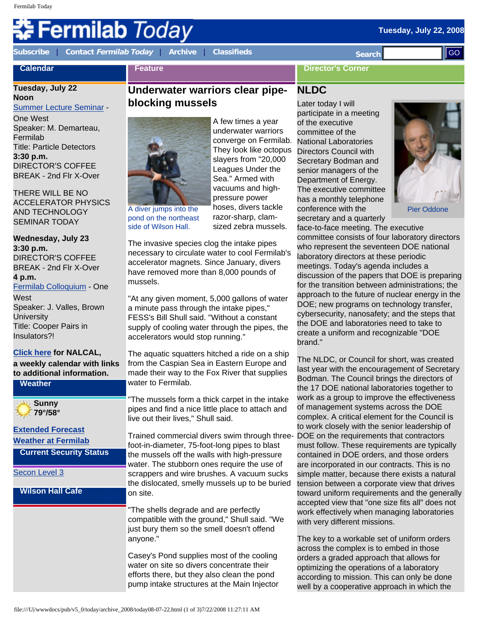# Fermilab *Today*

**Calendar**

**[Subscribe](http://www.fnal.gov/pub/today/subscription.html)** | **Contact [Fermilab Today](mailto:today@fnal.gov)** | **[Archive](http://www.fnal.gov/pub/today/archive.html)** | **[Classifieds](http://www.fnal.gov/pub/today/classifieds.html) Search** 

**Feature**

**Director's Corner**

# **Tuesday, July 22**

**Noon** [Summer Lecture Seminar](http://sist.fnal.gov/lectures.html) -

One West Speaker: M. Demarteau, Fermilab Title: Particle Detectors **3:30 p.m.** DIRECTOR'S COFFEE BREAK - 2nd Flr X-Over

THERE WILL BE NO ACCELERATOR PHYSICS AND TECHNOLOGY SEMINAR TODAY

**Wednesday, July 23 3:30 p.m.** DIRECTOR'S COFFEE BREAK - 2nd Flr X-Over **4 p.m.** [Fermilab Colloquium](http://www-ppd.fnal.gov/EPPOffice-w/colloq/colloq.html) - One **West** Speaker: J. Valles, Brown

**University** Title: Cooper Pairs in Insulators?!

**[Click here](http://www.fnal.gov/directorate/nalcal/nalcal07_21_08.html) for NALCAL, a weekly calendar with links to additional information.**

**Weather**

**Sunny 79°/58°**

#### **[Extended Forecast](http://forecast.weather.gov/MapClick.php?CityName=Batavia&state=IL&site=LOT&textField1=41.8506&textField2=-88.3004) [Weather at Fermilab](http://www-esh.fnal.gov/pls/default/weather.html)**

**Current Security Status**

#### [Secon Level 3](http://www.fnal.gov/pub/about/public_affairs/currentstatus.html)

#### **Wilson Hall Cafe**

### **Underwater warriors clear pipeblocking mussels**



A diver jumps into the pond on the northeast side of Wilson Hall.

A few times a year underwater warriors converge on Fermilab. They look like octopus slayers from "20,000 Leagues Under the Sea." Armed with vacuums and highpressure power hoses, divers tackle razor-sharp, clamsized zebra mussels.

The invasive species clog the intake pipes necessary to circulate water to cool Fermilab's accelerator magnets. Since January, divers have removed more than 8,000 pounds of mussels.

"At any given moment, 5,000 gallons of water a minute pass through the intake pipes," FESS's Bill Shull said. "Without a constant supply of cooling water through the pipes, the accelerators would stop running."

The aquatic squatters hitched a ride on a ship from the Caspian Sea in Eastern Europe and made their way to the Fox River that supplies water to Fermilab.

"The mussels form a thick carpet in the intake pipes and find a nice little place to attach and live out their lives," Shull said.

Trained commercial divers swim through threefoot-in-diameter, 75-foot-long pipes to blast the mussels off the walls with high-pressure water. The stubborn ones require the use of scrappers and wire brushes. A vacuum sucks the dislocated, smelly mussels up to be buried on site.

"The shells degrade and are perfectly compatible with the ground," Shull said. "We just bury them so the smell doesn't offend anyone."

Casey's Pond supplies most of the cooling water on site so divers concentrate their efforts there, but they also clean the pond pump intake structures at the Main Injector

## **NLDC**

Later today I will participate in a meeting of the executive committee of the National Laboratories Directors Council with Secretary Bodman and senior managers of the Department of Energy. The executive committee has a monthly telephone conference with the secretary and a quarterly



Pier Oddone

face-to-face meeting. The executive committee consists of four laboratory directors who represent the seventeen DOE national laboratory directors at these periodic meetings. Today's agenda includes a discussion of the papers that DOE is preparing for the transition between administrations; the approach to the future of nuclear energy in the DOE; new programs on technology transfer, cybersecurity, nanosafety; and the steps that the DOE and laboratories need to take to create a uniform and recognizable "DOE brand."

The NLDC, or Council for short, was created last year with the encouragement of Secretary Bodman. The Council brings the directors of the 17 DOE national laboratories together to work as a group to improve the effectiveness of management systems across the DOE complex. A critical element for the Council is to work closely with the senior leadership of DOE on the requirements that contractors must follow. These requirements are typically contained in DOE orders, and those orders are incorporated in our contracts. This is no simple matter, because there exists a natural tension between a corporate view that drives toward uniform requirements and the generally accepted view that "one size fits all" does not work effectively when managing laboratories with very different missions. Collectives correct the same of the same of 2008/today archives a consistent in the same of 2008/today archives a consistent in the same of 2008/today archives a consistent in the same of 2008/today and the same of 2008/t

The key to a workable set of uniform orders across the complex is to embed in those orders a graded approach that allows for optimizing the operations of a laboratory according to mission. This can only be done well by a cooperative approach in which the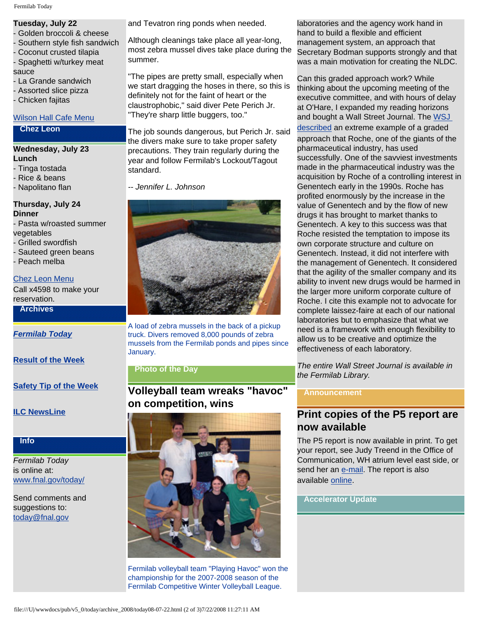#### **Tuesday, July 22**

- Golden broccoli & cheese
- Southern style fish sandwich
- Coconut crusted tilapia Spaghetti w/turkey meat

sauce

- La Grande sandwich
- Assorted slice pizza
- Chicken fajitas

#### [Wilson Hall Cafe Menu](http://bss.fnal.gov/cafe/index.html)

#### **Chez Leon**

#### **Wednesday, July 23 Lunch**

- Tinga tostada
- Rice & beans
- Napolitano flan

# **Thursday, July 24**

#### **Dinner**

- Pasta w/roasted summer vegetables
- Grilled swordfish
- Sauteed green beans
- Peach melba

#### [Chez Leon Menu](http://bss.fnal.gov/chezleon/index.html)

Call x4598 to make your reservation.

#### **Archives**

#### *[Fermilab Today](http://www.fnal.gov/pub/today/archive.html)*

**[Result of the Week](http://www.fnal.gov/pub/today/resultoftheweek/index.html)**

**[Safety Tip of the Week](http://www.fnal.gov/pub/today/safety/)**

**[ILC NewsLine](http://www.linearcollider.org/newsline/archive/index.html)**

#### **Info**

*Fermilab Today* is online at: [www.fnal.gov/today/](http://www.fnal.gov/today/)

#### Send comments and suggestions to: [today@fnal.gov](mailto:today@fnal.gov)

and Tevatron ring ponds when needed.

Although cleanings take place all year-long, most zebra mussel dives take place during the summer.

"The pipes are pretty small, especially when we start dragging the hoses in there, so this is definitely not for the faint of heart or the claustrophobic," said diver Pete Perich Jr. "They're sharp little buggers, too."

The job sounds dangerous, but Perich Jr. said the divers make sure to take proper safety precautions. They train regularly during the year and follow Fermilab's Lockout/Tagout standard.

*-- Jennifer L. Johnson*



A load of zebra mussels in the back of a pickup truck. Divers removed 8,000 pounds of zebra mussels from the Fermilab ponds and pipes since January.

#### **Photo of the Day**

**Volleyball team wreaks "havoc" on competition, wins** 



Fermilab volleyball team "Playing Havoc" won the championship for the 2007-2008 season of the Fermilab Competitive Winter Volleyball League.

laboratories and the agency work hand in hand to build a flexible and efficient management system, an approach that Secretary Bodman supports strongly and that was a main motivation for creating the NLDC.

Can this graded approach work? While thinking about the upcoming meeting of the executive committee, and with hours of delay at O'Hare, I expanded my reading horizons and bought a Wall Street Journal. The [WSJ](http://online.wsj.com/article/SB121658871989368689.html?mod=googlenews_wsj) 

[described](http://online.wsj.com/article/SB121658871989368689.html?mod=googlenews_wsj) an extreme example of a graded approach that Roche, one of the giants of the pharmaceutical industry, has used successfully. One of the savviest investments made in the pharmaceutical industry was the acquisition by Roche of a controlling interest in Genentech early in the 1990s. Roche has profited enormously by the increase in the value of Genentech and by the flow of new drugs it has brought to market thanks to Genentech. A key to this success was that Roche resisted the temptation to impose its own corporate structure and culture on Genentech. Instead, it did not interfere with the management of Genentech. It considered that the agility of the smaller company and its ability to invent new drugs would be harmed in the larger more uniform corporate culture of Roche. I cite this example not to advocate for complete laissez-faire at each of our national laboratories but to emphasize that what we need is a framework with enough flexibility to allow us to be creative and optimize the effectiveness of each laboratory.

*The entire Wall Street Journal is available in the Fermilab Library.*

#### **Announcement**

### **Print copies of the P5 report are now available**

The P5 report is now available in print. To get your report, see Judy Treend in the Office of Communication, WH atrium level east side, or send her an [e-mail](mailto:treend@fnal.gov). The report is also available [online](http://www.er.doe.gov/hep/HEPAP/reports/P5_Report%2006022008.pdf).

#### **Accelerator Update**